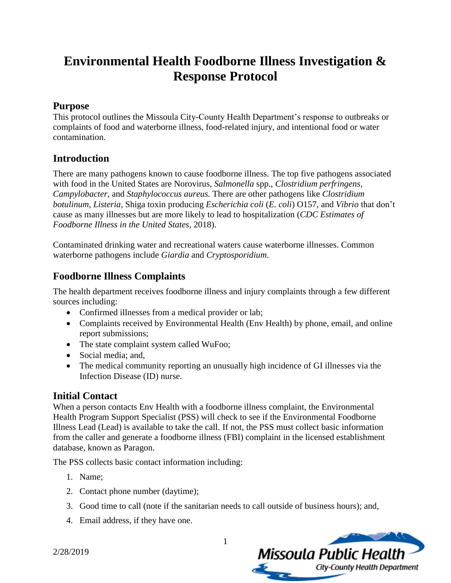# **Environmental Health Foodborne Illness Investigation & Response Protocol**

### **Purpose**

This protocol outlines the Missoula City-County Health Department's response to outbreaks or complaints of food and waterborne illness, food-related injury, and intentional food or water contamination.

# **Introduction**

There are many pathogens known to cause foodborne illness. The top five pathogens associated with food in the United States are Norovirus*, Salmonella* spp., *Clostridium perfringens, Campylobacter,* and *Staphylococcus aureus.* There are other pathogens like *Clostridium botulinum, Listeria,* Shiga toxin producing *Escherichia coli* (*E. coli*) O157, and *Vibrio* that don't cause as many illnesses but are more likely to lead to hospitalization (*CDC Estimates of Foodborne Illness in the United States,* 2018).

Contaminated drinking water and recreational waters cause waterborne illnesses. Common waterborne pathogens include *Giardia* and *Cryptosporidium*.

# **Foodborne Illness Complaints**

The health department receives foodborne illness and injury complaints through a few different sources including:

- Confirmed illnesses from a medical provider or lab;
- Complaints received by Environmental Health (Env Health) by phone, email, and online report submissions;
- The state complaint system called WuFoo;
- Social media; and,
- The medical community reporting an unusually high incidence of GI illnesses via the Infection Disease (ID) nurse.

# **Initial Contact**

When a person contacts Env Health with a foodborne illness complaint, the Environmental Health Program Support Specialist (PSS) will check to see if the Environmental Foodborne Illness Lead (Lead) is available to take the call. If not, the PSS must collect basic information from the caller and generate a foodborne illness (FBI) complaint in the licensed establishment database, known as Paragon.

The PSS collects basic contact information including:

- 1. Name;
- 2. Contact phone number (daytime);
- 3. Good time to call (note if the sanitarian needs to call outside of business hours); and,
- 4. Email address, if they have one.

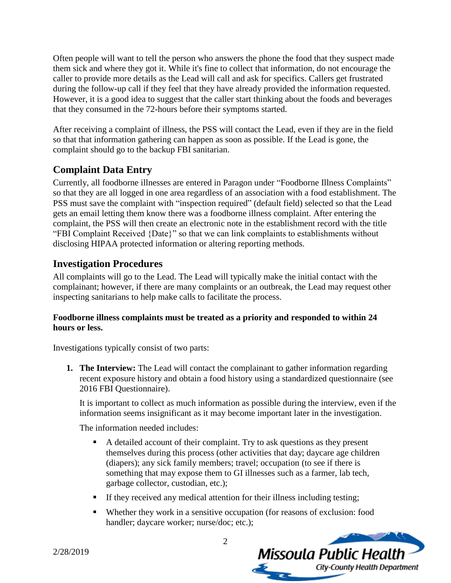Often people will want to tell the person who answers the phone the food that they suspect made them sick and where they got it. While it's fine to collect that information, do not encourage the caller to provide more details as the Lead will call and ask for specifics. Callers get frustrated during the follow-up call if they feel that they have already provided the information requested. However, it is a good idea to suggest that the caller start thinking about the foods and beverages that they consumed in the 72-hours before their symptoms started.

After receiving a complaint of illness, the PSS will contact the Lead, even if they are in the field so that that information gathering can happen as soon as possible. If the Lead is gone, the complaint should go to the backup FBI sanitarian.

# **Complaint Data Entry**

Currently, all foodborne illnesses are entered in Paragon under "Foodborne Illness Complaints" so that they are all logged in one area regardless of an association with a food establishment. The PSS must save the complaint with "inspection required" (default field) selected so that the Lead gets an email letting them know there was a foodborne illness complaint. After entering the complaint, the PSS will then create an electronic note in the establishment record with the title "FBI Complaint Received {Date}" so that we can link complaints to establishments without disclosing HIPAA protected information or altering reporting methods.

# **Investigation Procedures**

All complaints will go to the Lead. The Lead will typically make the initial contact with the complainant; however, if there are many complaints or an outbreak, the Lead may request other inspecting sanitarians to help make calls to facilitate the process.

#### **Foodborne illness complaints must be treated as a priority and responded to within 24 hours or less.**

Investigations typically consist of two parts:

**1. The Interview:** The Lead will contact the complainant to gather information regarding recent exposure history and obtain a food history using a standardized questionnaire (see 2016 FBI Questionnaire).

It is important to collect as much information as possible during the interview, even if the information seems insignificant as it may become important later in the investigation.

The information needed includes:

- A detailed account of their complaint. Try to ask questions as they present themselves during this process (other activities that day; daycare age children (diapers); any sick family members; travel; occupation (to see if there is something that may expose them to GI illnesses such as a farmer, lab tech, garbage collector, custodian, etc.);
- If they received any medical attention for their illness including testing;
- Whether they work in a sensitive occupation (for reasons of exclusion: food handler; daycare worker; nurse/doc; etc.);

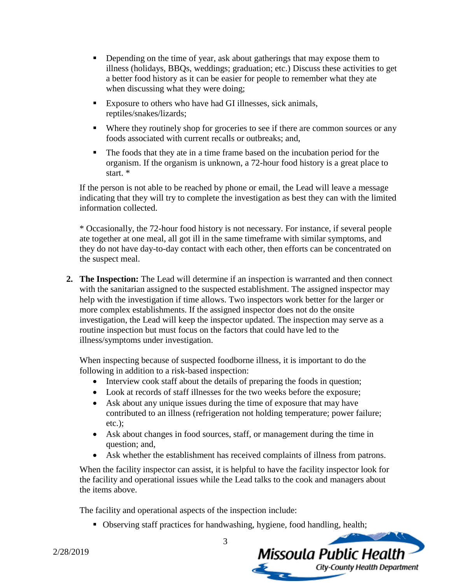- **•** Depending on the time of year, ask about gatherings that may expose them to illness (holidays, BBQs, weddings; graduation; etc.) Discuss these activities to get a better food history as it can be easier for people to remember what they ate when discussing what they were doing;
- Exposure to others who have had GI illnesses, sick animals, reptiles/snakes/lizards;
- Where they routinely shop for groceries to see if there are common sources or any foods associated with current recalls or outbreaks; and,
- The foods that they ate in a time frame based on the incubation period for the organism. If the organism is unknown, a 72-hour food history is a great place to start. \*

If the person is not able to be reached by phone or email, the Lead will leave a message indicating that they will try to complete the investigation as best they can with the limited information collected.

\* Occasionally, the 72-hour food history is not necessary. For instance, if several people ate together at one meal, all got ill in the same timeframe with similar symptoms, and they do not have day-to-day contact with each other, then efforts can be concentrated on the suspect meal.

**2. The Inspection:** The Lead will determine if an inspection is warranted and then connect with the sanitarian assigned to the suspected establishment. The assigned inspector may help with the investigation if time allows. Two inspectors work better for the larger or more complex establishments. If the assigned inspector does not do the onsite investigation, the Lead will keep the inspector updated. The inspection may serve as a routine inspection but must focus on the factors that could have led to the illness/symptoms under investigation.

When inspecting because of suspected foodborne illness, it is important to do the following in addition to a risk-based inspection:

- Interview cook staff about the details of preparing the foods in question;
- Look at records of staff illnesses for the two weeks before the exposure;
- Ask about any unique issues during the time of exposure that may have contributed to an illness (refrigeration not holding temperature; power failure; etc.);
- Ask about changes in food sources, staff, or management during the time in question; and,
- Ask whether the establishment has received complaints of illness from patrons.

When the facility inspector can assist, it is helpful to have the facility inspector look for the facility and operational issues while the Lead talks to the cook and managers about the items above.

The facility and operational aspects of the inspection include:

■ Observing staff practices for handwashing, hygiene, food handling, health;

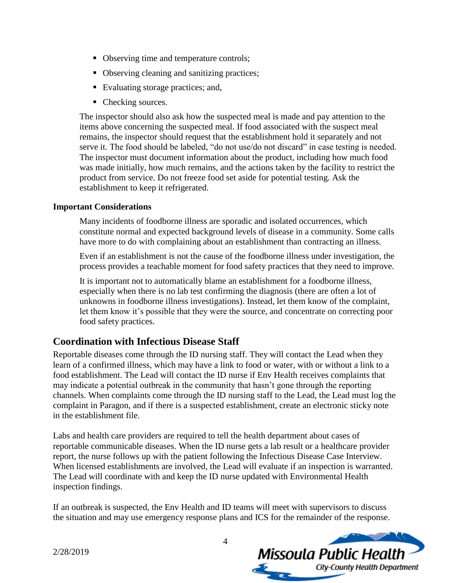- Observing time and temperature controls;
- Observing cleaning and sanitizing practices;
- Evaluating storage practices; and,
- Checking sources.

The inspector should also ask how the suspected meal is made and pay attention to the items above concerning the suspected meal. If food associated with the suspect meal remains, the inspector should request that the establishment hold it separately and not serve it. The food should be labeled, "do not use/do not discard" in case testing is needed. The inspector must document information about the product, including how much food was made initially, how much remains, and the actions taken by the facility to restrict the product from service. Do not freeze food set aside for potential testing. Ask the establishment to keep it refrigerated.

#### **Important Considerations**

Many incidents of foodborne illness are sporadic and isolated occurrences, which constitute normal and expected background levels of disease in a community. Some calls have more to do with complaining about an establishment than contracting an illness.

Even if an establishment is not the cause of the foodborne illness under investigation, the process provides a teachable moment for food safety practices that they need to improve.

It is important not to automatically blame an establishment for a foodborne illness, especially when there is no lab test confirming the diagnosis (there are often a lot of unknowns in foodborne illness investigations). Instead, let them know of the complaint, let them know it's possible that they were the source, and concentrate on correcting poor food safety practices.

### **Coordination with Infectious Disease Staff**

Reportable diseases come through the ID nursing staff. They will contact the Lead when they learn of a confirmed illness, which may have a link to food or water, with or without a link to a food establishment. The Lead will contact the ID nurse if Env Health receives complaints that may indicate a potential outbreak in the community that hasn't gone through the reporting channels. When complaints come through the ID nursing staff to the Lead, the Lead must log the complaint in Paragon, and if there is a suspected establishment, create an electronic sticky note in the establishment file.

Labs and health care providers are required to tell the health department about cases of reportable communicable diseases. When the ID nurse gets a lab result or a healthcare provider report, the nurse follows up with the patient following the Infectious Disease Case Interview. When licensed establishments are involved, the Lead will evaluate if an inspection is warranted. The Lead will coordinate with and keep the ID nurse updated with Environmental Health inspection findings.

If an outbreak is suspected, the Env Health and ID teams will meet with supervisors to discuss the situation and may use emergency response plans and ICS for the remainder of the response.

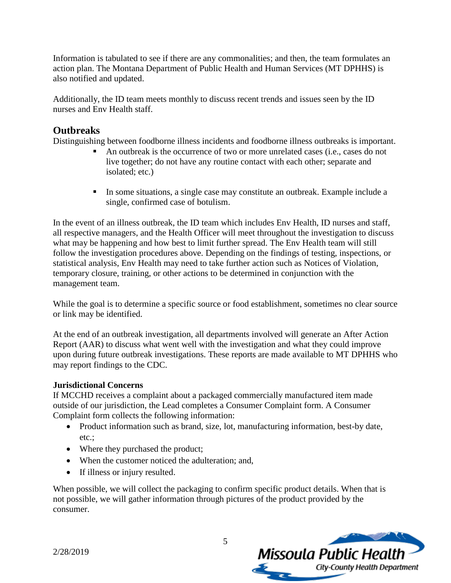Information is tabulated to see if there are any commonalities; and then, the team formulates an action plan. The Montana Department of Public Health and Human Services (MT DPHHS) is also notified and updated.

Additionally, the ID team meets monthly to discuss recent trends and issues seen by the ID nurses and Env Health staff.

# **Outbreaks**

Distinguishing between foodborne illness incidents and foodborne illness outbreaks is important.

- An outbreak is the occurrence of two or more unrelated cases (i.e., cases do not live together; do not have any routine contact with each other; separate and isolated; etc.)
- In some situations, a single case may constitute an outbreak. Example include a single, confirmed case of botulism.

In the event of an illness outbreak, the ID team which includes Env Health, ID nurses and staff, all respective managers, and the Health Officer will meet throughout the investigation to discuss what may be happening and how best to limit further spread. The Env Health team will still follow the investigation procedures above. Depending on the findings of testing, inspections, or statistical analysis, Env Health may need to take further action such as Notices of Violation, temporary closure, training, or other actions to be determined in conjunction with the management team.

While the goal is to determine a specific source or food establishment, sometimes no clear source or link may be identified.

At the end of an outbreak investigation, all departments involved will generate an After Action Report (AAR) to discuss what went well with the investigation and what they could improve upon during future outbreak investigations. These reports are made available to MT DPHHS who may report findings to the CDC.

#### **Jurisdictional Concerns**

If MCCHD receives a complaint about a packaged commercially manufactured item made outside of our jurisdiction, the Lead completes a Consumer Complaint form. A Consumer Complaint form collects the following information:

- Product information such as brand, size, lot, manufacturing information, best-by date, etc.;
- Where they purchased the product;
- When the customer noticed the adulteration; and,
- If illness or injury resulted.

When possible, we will collect the packaging to confirm specific product details. When that is not possible, we will gather information through pictures of the product provided by the consumer.

5



2/28/2019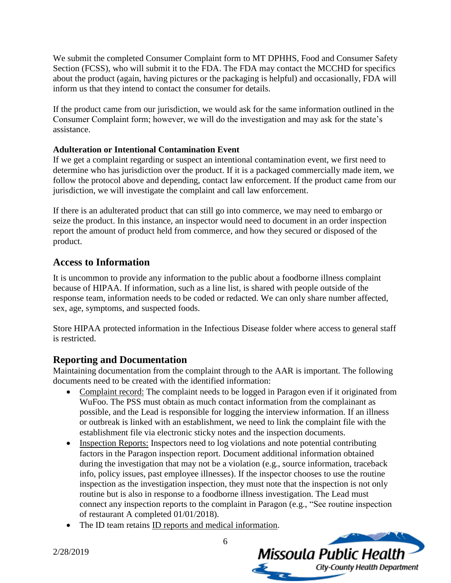We submit the completed Consumer Complaint form to MT DPHHS, Food and Consumer Safety Section (FCSS), who will submit it to the FDA. The FDA may contact the MCCHD for specifics about the product (again, having pictures or the packaging is helpful) and occasionally, FDA will inform us that they intend to contact the consumer for details.

If the product came from our jurisdiction, we would ask for the same information outlined in the Consumer Complaint form; however, we will do the investigation and may ask for the state's assistance.

#### **Adulteration or Intentional Contamination Event**

If we get a complaint regarding or suspect an intentional contamination event, we first need to determine who has jurisdiction over the product. If it is a packaged commercially made item, we follow the protocol above and depending, contact law enforcement. If the product came from our jurisdiction, we will investigate the complaint and call law enforcement.

If there is an adulterated product that can still go into commerce, we may need to embargo or seize the product. In this instance, an inspector would need to document in an order inspection report the amount of product held from commerce, and how they secured or disposed of the product.

### **Access to Information**

It is uncommon to provide any information to the public about a foodborne illness complaint because of HIPAA. If information, such as a line list, is shared with people outside of the response team, information needs to be coded or redacted. We can only share number affected, sex, age, symptoms, and suspected foods.

Store HIPAA protected information in the Infectious Disease folder where access to general staff is restricted.

### **Reporting and Documentation**

Maintaining documentation from the complaint through to the AAR is important. The following documents need to be created with the identified information:

- Complaint record: The complaint needs to be logged in Paragon even if it originated from WuFoo. The PSS must obtain as much contact information from the complainant as possible, and the Lead is responsible for logging the interview information. If an illness or outbreak is linked with an establishment, we need to link the complaint file with the establishment file via electronic sticky notes and the inspection documents.
- Inspection Reports: Inspectors need to log violations and note potential contributing factors in the Paragon inspection report. Document additional information obtained during the investigation that may not be a violation (e.g., source information, traceback info, policy issues, past employee illnesses). If the inspector chooses to use the routine inspection as the investigation inspection, they must note that the inspection is not only routine but is also in response to a foodborne illness investigation. The Lead must connect any inspection reports to the complaint in Paragon (e.g., "See routine inspection of restaurant A completed 01/01/2018).
- The ID team retains ID reports and medical information.

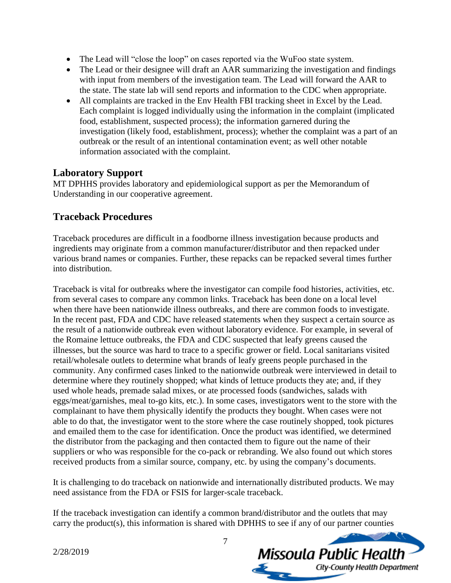- The Lead will "close the loop" on cases reported via the WuFoo state system.
- The Lead or their designee will draft an AAR summarizing the investigation and findings with input from members of the investigation team. The Lead will forward the AAR to the state. The state lab will send reports and information to the CDC when appropriate.
- All complaints are tracked in the Env Health FBI tracking sheet in Excel by the Lead. Each complaint is logged individually using the information in the complaint (implicated food, establishment, suspected process); the information garnered during the investigation (likely food, establishment, process); whether the complaint was a part of an outbreak or the result of an intentional contamination event; as well other notable information associated with the complaint.

#### **Laboratory Support**

MT DPHHS provides laboratory and epidemiological support as per the Memorandum of Understanding in our cooperative agreement.

### **Traceback Procedures**

Traceback procedures are difficult in a foodborne illness investigation because products and ingredients may originate from a common manufacturer/distributor and then repacked under various brand names or companies. Further, these repacks can be repacked several times further into distribution.

Traceback is vital for outbreaks where the investigator can compile food histories, activities, etc. from several cases to compare any common links. Traceback has been done on a local level when there have been nationwide illness outbreaks, and there are common foods to investigate. In the recent past, FDA and CDC have released statements when they suspect a certain source as the result of a nationwide outbreak even without laboratory evidence. For example, in several of the Romaine lettuce outbreaks, the FDA and CDC suspected that leafy greens caused the illnesses, but the source was hard to trace to a specific grower or field. Local sanitarians visited retail/wholesale outlets to determine what brands of leafy greens people purchased in the community. Any confirmed cases linked to the nationwide outbreak were interviewed in detail to determine where they routinely shopped; what kinds of lettuce products they ate; and, if they used whole heads, premade salad mixes, or ate processed foods (sandwiches, salads with eggs/meat/garnishes, meal to-go kits, etc.). In some cases, investigators went to the store with the complainant to have them physically identify the products they bought. When cases were not able to do that, the investigator went to the store where the case routinely shopped, took pictures and emailed them to the case for identification. Once the product was identified, we determined the distributor from the packaging and then contacted them to figure out the name of their suppliers or who was responsible for the co-pack or rebranding. We also found out which stores received products from a similar source, company, etc. by using the company's documents.

It is challenging to do traceback on nationwide and internationally distributed products. We may need assistance from the FDA or FSIS for larger-scale traceback.

If the traceback investigation can identify a common brand/distributor and the outlets that may carry the product(s), this information is shared with DPHHS to see if any of our partner counties

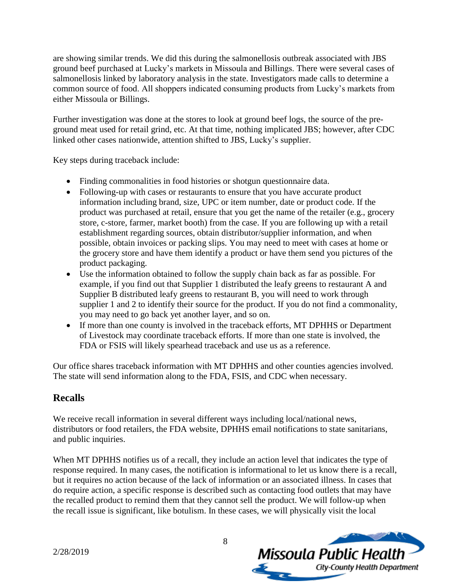are showing similar trends. We did this during the salmonellosis outbreak associated with JBS ground beef purchased at Lucky's markets in Missoula and Billings. There were several cases of salmonellosis linked by laboratory analysis in the state. Investigators made calls to determine a common source of food. All shoppers indicated consuming products from Lucky's markets from either Missoula or Billings.

Further investigation was done at the stores to look at ground beef logs, the source of the preground meat used for retail grind, etc. At that time, nothing implicated JBS; however, after CDC linked other cases nationwide, attention shifted to JBS, Lucky's supplier.

Key steps during traceback include:

- Finding commonalities in food histories or shotgun questionnaire data.
- Following-up with cases or restaurants to ensure that you have accurate product information including brand, size, UPC or item number, date or product code. If the product was purchased at retail, ensure that you get the name of the retailer (e.g., grocery store, c-store, farmer, market booth) from the case. If you are following up with a retail establishment regarding sources, obtain distributor/supplier information, and when possible, obtain invoices or packing slips. You may need to meet with cases at home or the grocery store and have them identify a product or have them send you pictures of the product packaging.
- Use the information obtained to follow the supply chain back as far as possible. For example, if you find out that Supplier 1 distributed the leafy greens to restaurant A and Supplier B distributed leafy greens to restaurant B, you will need to work through supplier 1 and 2 to identify their source for the product. If you do not find a commonality, you may need to go back yet another layer, and so on.
- If more than one county is involved in the traceback efforts, MT DPHHS or Department of Livestock may coordinate traceback efforts. If more than one state is involved, the FDA or FSIS will likely spearhead traceback and use us as a reference.

Our office shares traceback information with MT DPHHS and other counties agencies involved. The state will send information along to the FDA, FSIS, and CDC when necessary.

# **Recalls**

We receive recall information in several different ways including local/national news, distributors or food retailers, the FDA website, DPHHS email notifications to state sanitarians, and public inquiries.

When MT DPHHS notifies us of a recall, they include an action level that indicates the type of response required. In many cases, the notification is informational to let us know there is a recall, but it requires no action because of the lack of information or an associated illness. In cases that do require action, a specific response is described such as contacting food outlets that may have the recalled product to remind them that they cannot sell the product. We will follow-up when the recall issue is significant, like botulism. In these cases, we will physically visit the local

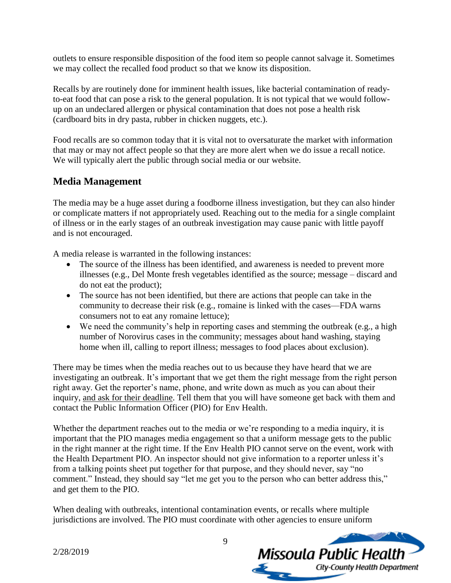outlets to ensure responsible disposition of the food item so people cannot salvage it. Sometimes we may collect the recalled food product so that we know its disposition.

Recalls by are routinely done for imminent health issues, like bacterial contamination of readyto-eat food that can pose a risk to the general population. It is not typical that we would followup on an undeclared allergen or physical contamination that does not pose a health risk (cardboard bits in dry pasta, rubber in chicken nuggets, etc.).

Food recalls are so common today that it is vital not to oversaturate the market with information that may or may not affect people so that they are more alert when we do issue a recall notice. We will typically alert the public through social media or our website.

# **Media Management**

The media may be a huge asset during a foodborne illness investigation, but they can also hinder or complicate matters if not appropriately used. Reaching out to the media for a single complaint of illness or in the early stages of an outbreak investigation may cause panic with little payoff and is not encouraged.

A media release is warranted in the following instances:

- The source of the illness has been identified, and awareness is needed to prevent more illnesses (e.g., Del Monte fresh vegetables identified as the source; message – discard and do not eat the product);
- The source has not been identified, but there are actions that people can take in the community to decrease their risk (e.g., romaine is linked with the cases—FDA warns consumers not to eat any romaine lettuce);
- We need the community's help in reporting cases and stemming the outbreak (e.g., a high number of Norovirus cases in the community; messages about hand washing, staying home when ill, calling to report illness; messages to food places about exclusion).

There may be times when the media reaches out to us because they have heard that we are investigating an outbreak. It's important that we get them the right message from the right person right away. Get the reporter's name, phone, and write down as much as you can about their inquiry, and ask for their deadline. Tell them that you will have someone get back with them and contact the Public Information Officer (PIO) for Env Health.

Whether the department reaches out to the media or we're responding to a media inquiry, it is important that the PIO manages media engagement so that a uniform message gets to the public in the right manner at the right time. If the Env Health PIO cannot serve on the event, work with the Health Department PIO. An inspector should not give information to a reporter unless it's from a talking points sheet put together for that purpose, and they should never, say "no comment." Instead, they should say "let me get you to the person who can better address this," and get them to the PIO.

When dealing with outbreaks, intentional contamination events, or recalls where multiple jurisdictions are involved. The PIO must coordinate with other agencies to ensure uniform



2/28/2019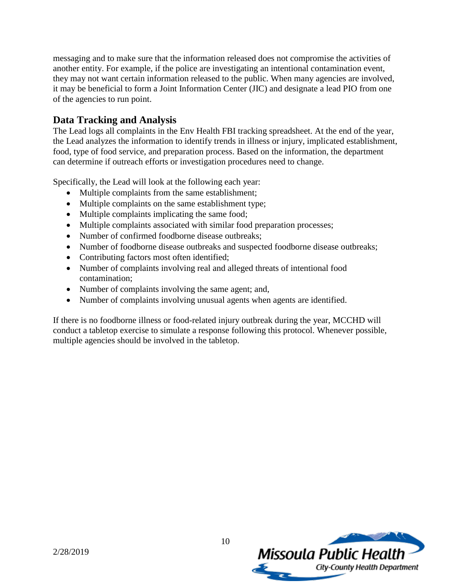messaging and to make sure that the information released does not compromise the activities of another entity. For example, if the police are investigating an intentional contamination event, they may not want certain information released to the public. When many agencies are involved, it may be beneficial to form a Joint Information Center (JIC) and designate a lead PIO from one of the agencies to run point.

### **Data Tracking and Analysis**

The Lead logs all complaints in the Env Health FBI tracking spreadsheet. At the end of the year, the Lead analyzes the information to identify trends in illness or injury, implicated establishment, food, type of food service, and preparation process. Based on the information, the department can determine if outreach efforts or investigation procedures need to change.

Specifically, the Lead will look at the following each year:

- Multiple complaints from the same establishment;
- Multiple complaints on the same establishment type;
- Multiple complaints implicating the same food;
- Multiple complaints associated with similar food preparation processes;
- Number of confirmed foodborne disease outbreaks;
- Number of foodborne disease outbreaks and suspected foodborne disease outbreaks;
- Contributing factors most often identified;
- Number of complaints involving real and alleged threats of intentional food contamination;
- Number of complaints involving the same agent; and,
- Number of complaints involving unusual agents when agents are identified.

If there is no foodborne illness or food-related injury outbreak during the year, MCCHD will conduct a tabletop exercise to simulate a response following this protocol. Whenever possible, multiple agencies should be involved in the tabletop.

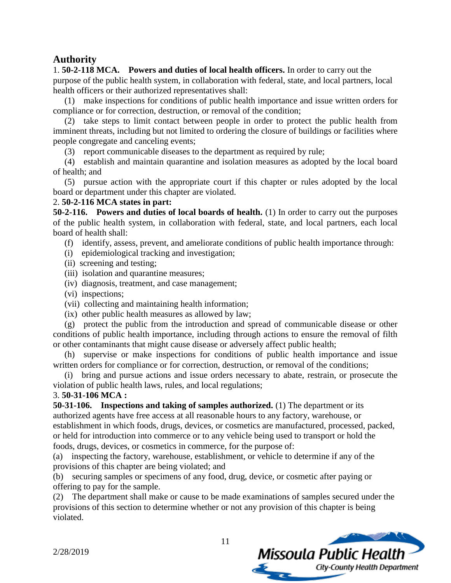#### **Authority**

1. **50-2-118 MCA. Powers and duties of local health officers.** In order to carry out the purpose of the public health system, in collaboration with federal, state, and local partners, local health officers or their authorized representatives shall:

(1) make inspections for conditions of public health importance and issue written orders for compliance or for correction, destruction, or removal of the condition;

(2) take steps to limit contact between people in order to protect the public health from imminent threats, including but not limited to ordering the closure of buildings or facilities where people congregate and canceling events;

(3) report communicable diseases to the department as required by rule;

(4) establish and maintain quarantine and isolation measures as adopted by the local board of health; and

(5) pursue action with the appropriate court if this chapter or rules adopted by the local board or department under this chapter are violated.

#### 2. **50-2-116 MCA states in part:**

**50-2-116. Powers and duties of local boards of health.** (1) In order to carry out the purposes of the public health system, in collaboration with federal, state, and local partners, each local board of health shall:

(f) identify, assess, prevent, and ameliorate conditions of public health importance through:

- (i) epidemiological tracking and investigation;
- (ii) screening and testing;
- (iii) isolation and quarantine measures;
- (iv) diagnosis, treatment, and case management;
- (vi) inspections;
- (vii) collecting and maintaining health information;
- (ix) other public health measures as allowed by law;

(g) protect the public from the introduction and spread of communicable disease or other conditions of public health importance, including through actions to ensure the removal of filth or other contaminants that might cause disease or adversely affect public health;

(h) supervise or make inspections for conditions of public health importance and issue written orders for compliance or for correction, destruction, or removal of the conditions;

(i) bring and pursue actions and issue orders necessary to abate, restrain, or prosecute the violation of public health laws, rules, and local regulations;

#### 3. **50-31-106 MCA :**

**50-31-106. Inspections and taking of samples authorized.** (1) The department or its authorized agents have free access at all reasonable hours to any factory, warehouse, or establishment in which foods, drugs, devices, or cosmetics are manufactured, processed, packed, or held for introduction into commerce or to any vehicle being used to transport or hold the foods, drugs, devices, or cosmetics in commerce, for the purpose of:

(a) inspecting the factory, warehouse, establishment, or vehicle to determine if any of the provisions of this chapter are being violated; and

(b) securing samples or specimens of any food, drug, device, or cosmetic after paying or offering to pay for the sample.

(2) The department shall make or cause to be made examinations of samples secured under the provisions of this section to determine whether or not any provision of this chapter is being violated.